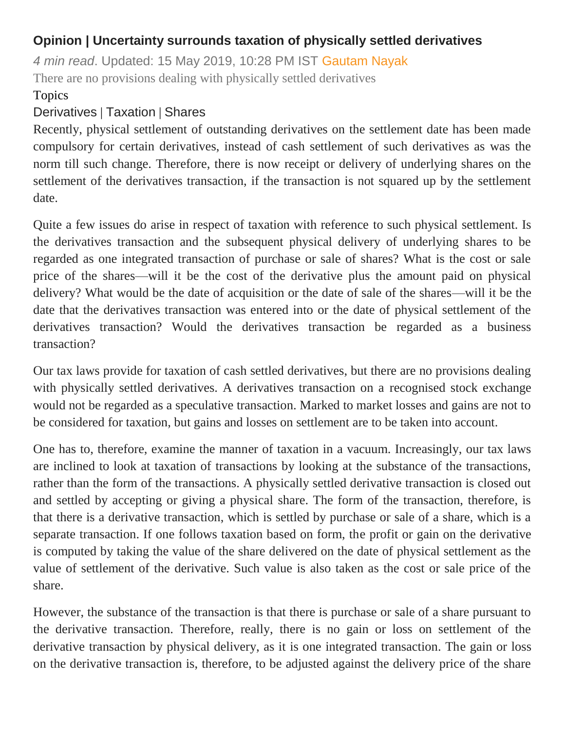## **Opinion | Uncertainty surrounds taxation of physically settled derivatives**

*4 min read*. Updated: 15 May 2019, 10:28 PM IST [Gautam Nayak](https://www.livemint.com/Search/Link/Author/Gautam%20Nayak) There are no provisions dealing with physically settled derivatives

## Topics

## [Derivatives](https://www.livemint.com/topic/derivatives) | [Taxation](https://www.livemint.com/topic/taxation) | [Shares](https://www.livemint.com/topic/shares)

Recently, physical settlement of outstanding derivatives on the settlement date has been made compulsory for certain derivatives, instead of cash settlement of such derivatives as was the norm till such change. Therefore, there is now receipt or delivery of underlying shares on the settlement of the derivatives transaction, if the transaction is not squared up by the settlement date.

Quite a few issues do arise in respect of taxation with reference to such physical settlement. Is the derivatives transaction and the subsequent physical delivery of underlying shares to be regarded as one integrated transaction of purchase or sale of shares? What is the cost or sale price of the shares—will it be the cost of the derivative plus the amount paid on physical delivery? What would be the date of acquisition or the date of sale of the shares—will it be the date that the derivatives transaction was entered into or the date of physical settlement of the derivatives transaction? Would the derivatives transaction be regarded as a business transaction?

Our tax laws provide for taxation of cash settled derivatives, but there are no provisions dealing with physically settled derivatives. A derivatives transaction on a recognised stock exchange would not be regarded as a speculative transaction. Marked to market losses and gains are not to be considered for taxation, but gains and losses on settlement are to be taken into account.

One has to, therefore, examine the manner of taxation in a vacuum. Increasingly, our tax laws are inclined to look at taxation of transactions by looking at the substance of the transactions, rather than the form of the transactions. A physically settled derivative transaction is closed out and settled by accepting or giving a physical share. The form of the transaction, therefore, is that there is a derivative transaction, which is settled by purchase or sale of a share, which is a separate transaction. If one follows taxation based on form, the profit or gain on the derivative is computed by taking the value of the share delivered on the date of physical settlement as the value of settlement of the derivative. Such value is also taken as the cost or sale price of the share.

However, the substance of the transaction is that there is purchase or sale of a share pursuant to the derivative transaction. Therefore, really, there is no gain or loss on settlement of the derivative transaction by physical delivery, as it is one integrated transaction. The gain or loss on the derivative transaction is, therefore, to be adjusted against the delivery price of the share